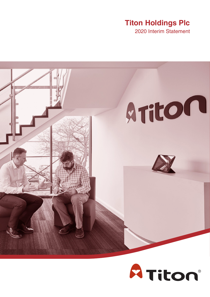# **Titon Holdings Plc**

2020 Interim Statement



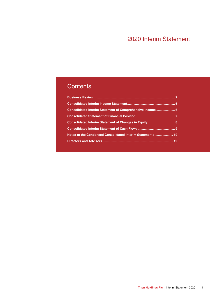# 2020 Interim Statement

# **Contents**

| Consolidated Interim Statement of Comprehensive Income  6 |  |
|-----------------------------------------------------------|--|
|                                                           |  |
| Consolidated Interim Statement of Changes in Equity 8     |  |
|                                                           |  |
| Notes to the Condensed Consolidated Interim Statements 10 |  |
|                                                           |  |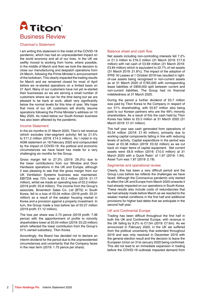<span id="page-3-0"></span>

### Chairman's Statement

I am writing this statement in the midst of the COVID-19 pandemic, which has had an unprecedented impact on the world economy and all of our lives. In the UK we swiftly moved to working from home, where possible, in the middle of March and then we took the decision to close our manufacturing and despatch operations from 24 March, following the Prime Minister's announcement of the lockdown. This clearly impacted the trading results for March and we remained closed for most of April before we re-started operations on a limited basis on 21 April. Many of our customers have not yet re-started their businesses so we are serving a small number of customers where we can for the time being but we are pleased to be back at work, albeit very significantly below the normal levels for this time of year. We hope that more of our UK customers will shortly resume operations following the Prime Minister's address on 10 May 2020. As noted below our South Korean business has also been affected by the pandemic.

### Income Statement

In the six months to 31 March 2020, Titon's net revenue (which excludes inter-segment activity) fell by 21.5% to £11.2 million (2019: £14.3 million). As I noted in my AGM statement on 18 February 2020 and compounded by the impact of COVID-19, the political and economic circumstances we have faced has made for a very challenging six months for the Group.

Gross margin fell to 27.3% (2019: 29.3%) due to the lower contributions from our Window and Door Hardware operations in the UK and Europe, although it was pleasing to see that the gross margin from our UK Ventilation Systems business was maintained. EBITDA was 73% lower at £0.3 million (2019: £1.17 million), whilst we made an operating loss of £0.2 million (2019 profit: £0.8 million). The income from the Group's associate, Browntech Sales Co. Ltd (BTS) in South Korea, fell to a loss of £0.04 million (2019 profit: £0.31 million) as a result of the weaker housing market in Korea and a provision against a property investment. In turn, the Group made a loss before tax of £0.27 million (2019 profit: £1.12 million).

The loss per share was 2.73 pence (2019 profit: 7.06 pence) with the apportionment of profits to minority shareholders lower at £0.04 million (2019: £0.22 million) which reflected the lower contribution from the Group's 51% owned subsidiary, Titon Korea.

Accordingly, the Board has decided not to declare an interim dividend for the period due to the unprecedented circumstances and uncertainty that the Company faces in the near term (2019: 1.75 pence per share).

### Balance sheet and cash flow

Net assets including non-controlling interests fell 7.2% or £1.3 million to £16.3 million (31 March 2019: £17.6 million) with net cash of £3.69 million (31 March 2019: £3.84 million) which is equivalent to 22.7% of net assets (31 March 2019: 21.8%), The impact of the adoption of IFRS 16 Leases at 1 October 2019 has resulted in rightof-use assets being recognised in non-current assets as at 31 March 2020 of £783,000 with corresponding lease liabilities of £809,000 split between current and non-current liabilities. The Group had no financial indebtedness at 31 March 2020.

During the period a further dividend of £0.7 million was paid by Titon Korea to the Company in respect of our 51% shareholding, with £0.67 million also being paid to our Korean partners who are the 49% minority shareholders. As a result of this the cash held by Titon Korea has fallen to £0.3 million at 31 March 2020 (31 March 2019: £1.01 million).

The half year saw cash generated from operations of £0.54 million (2019: £1.45 million), primarily due to working capital components falling in line with reducing levels of activity. Capital expenditure in the period was lower at £0.38 million (2019: £0.52 million) as we cut back on major items of capital equipment. Net current assets were £8.8 million (2019: £10.0 million) at 31 March 2020 with a Quick Ratio<sup>1</sup> of 1.97 (2019: 1.94). Asset Turn was 1.87 (2019: 2.19).

### Segmental and operational review

Clearly, this has been a very difficult period and the Group Loss before tax reflects the challenges we have faced. Although the Coronavirus pandemic only started to affect the UK and Europe from March 2020 onwards it had already impacted on our operations in South Korea. These results also include costs of redundancies that we had already made before March as we reacted to the weaker market conditions in the first half and additional provisions for higher bad debts that we anticipate in the second half year.

### UK and Continental Europe

Trading has been difficult throughout the first half in both the UK and Continental Europe, with revenue in the UK falling by 9.2% to £7.0m (2019: £7.6m). As we announced in February 2020, in the UK we suffered from the political uncertainty that extended throughout 2019 and was only resolved in December 2019 with the general election result and the decision to leave the European Union on 31st January 2020 being confirmed. This did not lead to an immediate expansion in trading before the COVID-19 outbreak impacted demand from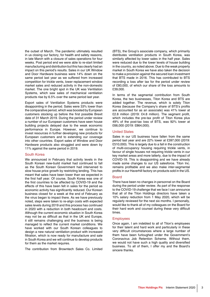the outset of March. The pandemic ultimately resulted in us closing our factory, for health and safety reasons, in late March with a closure of sales operations for four weeks. Post period end we were able to re-start limited manufacturing and distribution but this has clearly had an impact on this period's results. Sales in our UK Window and Door Hardware business were 14% down on the same period last year as we suffered from increased competition for trickle vents, lower replacement window market sales and reduced activity in the non-domestic market. The one bright spot in the UK was Ventilation Systems, which saw sales of mechanical ventilation products rise by 6.5% over the same period last year.

Export sales of Ventilation Systems products were disappointing in the period. Sales were 33% lower than the comparative period, which was boosted by European customers stocking up before the first possible Brexit date of 31 March 2019. During the period under review a number of our European customers have seen house building projects delayed due to the weak economic performance in Europe. However, we continue to invest resources in further developing new products for European customers and to extending our coverage into other countries. Export sales of Window and Door Hardware products also struggled and were down by 11% against the same period in 2019.

### South Korea

We announced in February that activity levels in the South Korean new-build market had continued to fall as the South Korean Government had intervened to slow house price growth by restricting lending. This has meant that sales have been lower than we expected in the first half year. Of course, South Korea was one of the first countries to be affected by COVID-19 and the effects of this have been felt in sales for the period as economic activity has significantly reduced. Our Korean business closed for a week at the end of February as the virus began to impact there. As we have previously noted, steps were taken to re-align costs with expected sales levels during 2019 and this process has continued in 2020 with a reduction in both headcount and costs. Although the current economic situation in South Korea may not be as difficult as that in the UK and Europe, it still remains challenging and the business is being managed to reflect the current market conditions. We have worked with our South Korean colleagues to design a new natural ventilation product with increased filtration, which is now ready for manufacture and sale in South Korea and we will continue to develop products for them as the market requires.

The contribution from Browntech Sales Co. Limited

(BTS), the Group's associate company, which primarily distributes ventilation products in South Korea, was similarly affected by lower sales in the half year. Sales were reduced due to the lower levels of house building in the country, as noted above. Due to the weak property market in South Korea we have also taken the decision to make a provision against the secured loan investment that BTS made in 2016. This has contributed to BTS recording a loss after tax for the period under review of £80,000, of which our share of the loss amounts to £39,000.

In terms of the segmental contribution from South Korea, the two businesses, Titon Korea and BTS are added together. The revenue, which is solely Titon Korea (because the Company's share of BTS's profits are accounted for as an associate) was 41% lower at £2.8 million (2019: £4.8 million). The segment profit, which includes the pre-tax profit of Titon Korea plus 49% of the post-tax loss of BTS, was 92% lower at £66,000 (2019: £864,000).

#### United States

Sales in our US business have fallen from the same period last year and are 22% lower at £397,000 (2019: £510,000). This is largely due to a fall in the construction of multi-occupancy housing requiring trickle vents, in favour of single houses not requiring trickle vents in our key market areas and more latterly, due to the impact of COVID-19. This is disappointing and we have already made some changes to our US salesforce. Titon Inc. remains profitable and we also make inter-segmental profits in our Haverhill factory on products sold in the US.

#### **Board**

There have been no changes in personnel on the Board during the period under review. As part of the response to the COVID-19 challenge that we face I can announce that all of the Titon Holdings directors have taken a 10% salary reduction from 1 May 2020, which will be regularly reviewed for the next six months. I personally, would like to thank all of my colleagues on the Board for their hard work and counsel during these very difficult times.

#### **Employees**

Once again, I am indebted to all of Titon's employees for their talent and hard work and particularly in these very difficult circumstances where a large number of them have been furloughed under the Government's Coronavirus Job Retention Scheme. Without them, we would not have such a high quality and diversified business. To all of them, I offer my and the Board's sincere thanks.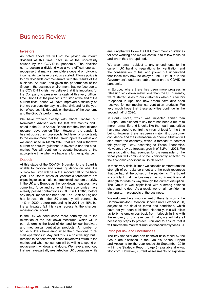# Business Review

### Investors

As noted above we will not be paying an interim dividend at this time, because of the uncertainty caused by the COVID-19 pandemic. The decision not to declare a dividend was a very difficult one as I recognise that many shareholders depend on dividend income. As we have previously stated, Titon's policy is to pay dividends commensurate with the results of the business. As such, and given the performance of the Group in the business environment that we face due to the COVID-19 crisis, we believe that it is important for the Company to preserve its cash at this very difficult time. I hope that the prospects for Titon at the end of the current fiscal period will have improved sufficiently so that we can consider paying a final dividend for the year but, of course, this depends on the state of the economy and the Group's performance.

We have worked closely with Shore Capital, our Nominated Adviser, over the last few months and I noted in the 2019 Annual Report that they had initiated research coverage on Titon. However, the pandemic has introduced an unprecedented level of uncertainty to the environment that the Group operates within and we announced in March 2020 that we had withdrawn current and future guidance to investors and the stock market. We will continue to update investors at the appropriate time when we have any further guidance.

### **Outlook**

At this stage of the COVID-19 pandemic the Board is unable to provide any formal guidance on what the outlook for Titon will be in the second half of the fiscal year. The Board notes all economic forecasters are expecting to see a major contraction of economic activity in the UK and Europe as the lock down measures have come into force and some of these economies have already posted contractions in GDP in Q1 2020 before any major impact has been felt. The Bank of England has forecast that the UK economy will contract by 14% in 2020, before rebounding in 2021 by 15% but the anticipated fall this year represents the sharpest recession on record.

In the UK we need some more certainty as to the relaxation of the lock down measures, which will in part determine the level of demand for our hardware and mechanical ventilation products. A number of house builders have announced their intentions to restart operations in May and this is a positive sign but it remains to be seen when house buyers will return to the market and when consumers will be willing to spend on replacement windows and doors. We have announced that we have partially re-started our UK operations while

ensuring that we follow the UK Government's guidelines for safe working and we will continue to follow these as and when they are updated.

We also remain subject to any amendments to the current UK building regulations for ventilation and the conservation of fuel and power but understand that these may now be delayed until 2021 due to the Government's understandable focus on the COVID-19 pandemic.

In Europe, where there has been more progress in releasing lock down restrictions than the UK currently, we re-started sales to our customers when our factory re-opened in April and new orders have also been received for our mechanical ventilation products. We very much hope that these activities continue in the second half of 2020.

In South Korea, which was impacted earlier than Europe, I am pleased to say there has been a return to more normal life and it looks like the health authorities have managed to control the virus, at least for the time being. However, there has been a major hit to consumer confidence and the international economic situation will also affect the economy, which is forecast to contract this year by 0.8%, according to Focus Economics. However, they do forecast growth of 3.2% in 2021. We are anticipating that revenues for the remainder of the fiscal year will continue to be significantly affected by the economic conditions in South Korea.

In these very difficult times we can take comfort from the strength of our balance sheet and the cash resources that we had at the outset of the pandemic. The Board is confident that the business has sufficient financial strength to trade its way through the current disruption. The Group is well capitalised with a strong balance sheet and no debt. As a result, we remain confident in the long-term prospects of the business.

We welcome the announcement of the extension of the Coronavirus Job Retention Scheme until October 2020, subject to the detailed terms and conditions, which have not yet been published. Hopefully, this will allow us to bring employees back from furlough in line with the recovery of our revenues. Finally, we will take all necessary steps to protect Titon and to ensure that it will survive the market disruption that currently faces us.

### Principal risk and uncertainties

The key financial and non-financial risks faced by the Group are disclosed in the Group's Annual Report and Accounts for the year ended 30 September 2019 within the Strategic Report (page 6) available at www. titon.com. However, current assessments of exposure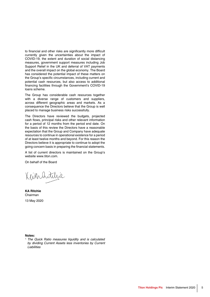to financial and other risks are significantly more difficult currently given the uncertainties about the impact of COVID-19, the extent and duration of social distancing measures, government support measures including Job Support Relief in the UK and deferral of VAT payments and the overall impact on the global economy. The Board has considered the potential impact of these matters on the Group's specific circumstances, including current and potential cash resources, but also access to additional financing facilities through the Government's COVID-19 loans scheme.

The Group has considerable cash resources together with a diverse range of customers and suppliers, across different geographic areas and markets. As a consequence the Directors believe that the Group is well placed to manage business risks successfully.

The Directors have reviewed the budgets, projected cash flows, principal risks and other relevant information for a period of 12 months from the period end date. On the basis of this review the Directors have a reasonable expectation that the Group and Company have adequate resources to continue in operational existence for a period of at least twelve months and beyond. For this reason the Directors believe it is appropriate to continue to adopt the going concern basis in preparing the financial statements.

A list of current directors is maintained on the Group's website www.titon.com.

On behalf of the Board

Keinhatchie

**KA Ritchie**  Chairman 13 May 2020

**Notes:**

*1. The Quick Ratio measures liquidity and is calculated by dividing Current Assets less inventories by Current Liabilities*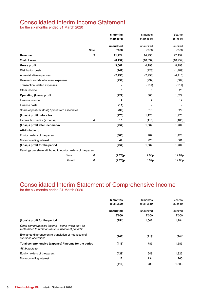# <span id="page-7-0"></span>Consolidated Interim Income Statement

for the six months ended 31 March 2020

|                                                                |                |      | 6 months   | 6 months   | Year to   |
|----------------------------------------------------------------|----------------|------|------------|------------|-----------|
|                                                                |                |      | to 31.3.20 | to 31.3.19 | 30.9.19   |
|                                                                |                |      | unaudited  | unaudited  | audited   |
|                                                                |                | Note | £'000      | £'000      | £'000     |
| Revenue                                                        |                | 3    | 11,224     | 14,290     | 27,157    |
| Cost of sales                                                  |                |      | (8, 157)   | (10,097)   | (18, 959) |
| <b>Gross profit</b>                                            |                |      | 3,067      | 4,193      | 8,198     |
| <b>Distribution costs</b>                                      |                |      | (747)      | (728)      | (1,489)   |
| Administrative expenses                                        |                |      | (2, 293)   | (2,258)    | (4, 415)  |
| Research and development expenses                              |                |      | (259)      | (232)      | (504)     |
| Transaction related expenses                                   |                |      |            | (181)      | (181)     |
| Other income                                                   |                |      | 5          | 6          | 20        |
| Operating (loss) / profit                                      |                |      | (227)      | 800        | 1,629     |
| Finance income                                                 |                |      | 7          | 7          | 12        |
| Finance costs                                                  |                |      | (11)       |            |           |
| Share of post-tax (loss) / profit from associates              |                |      | (39)       | 313        | 329       |
| (Loss) / profit before tax                                     |                |      | (270)      | 1,120      | 1,970     |
| Income tax credit / (expense)                                  |                | 4    | 16         | (118)      | (186)     |
| (Loss) / profit after income tax                               |                |      | (254)      | 1,002      | 1,784     |
| Attributable to:                                               |                |      |            |            |           |
| Equity holders of the parent                                   |                |      | (303)      | 782        | 1,423     |
| Non-controlling interest                                       |                |      | 49         | 220        | 361       |
| (Loss) / profit for the period                                 |                |      | (254)      | 1,002      | 1,784     |
| Earnings per share attributed to equity holders of the parent: |                |      |            |            |           |
|                                                                | <b>Basic</b>   | 6    | (2.73)p    | 7.06p      | 12.84p    |
|                                                                | <b>Diluted</b> | 6    | (2.73)p    | 6.97p      | 12.68p    |

# Consolidated Interim Statement of Comprehensive Income

for the six months ended 31 March 2020

|                                                                                                          | 6 months<br>to 31.3.20 | 6 months<br>to 31.3.19 | Year to<br>30.9.19 |
|----------------------------------------------------------------------------------------------------------|------------------------|------------------------|--------------------|
|                                                                                                          | unaudited<br>£'000     | unaudited<br>£'000     | audited<br>£'000   |
| (Loss) / profit for the period                                                                           | (254)                  | 1,002                  | 1,784              |
| Other comprehensive income – items which may be<br>reclassified to profit or loss in subsequent periods: |                        |                        |                    |
| Exchange difference on re-translation of net assets of<br>overseas operations                            | (162)                  | (219)                  | (201)              |
| Total comprehensive (expense) / income for the period                                                    | (416)                  | 783                    | 1,583              |
| Attributable to:                                                                                         |                        |                        |                    |
| Equity holders of the parent                                                                             | (428)                  | 649                    | 1,323              |
| Non-controlling interest                                                                                 | 12                     | 134                    | 260                |
|                                                                                                          | (416)                  | 783                    | 1,583              |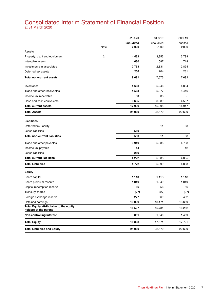# <span id="page-8-0"></span>Consolidated Interim Statement of Financial Position

at 31 March 2020

|                                                                  |      | 31.3.20   | 31.3.19   | 30.9.19 |
|------------------------------------------------------------------|------|-----------|-----------|---------|
|                                                                  |      | unaudited | unaudited | audited |
|                                                                  | Note | £'000     | £'000     | £'000   |
| <b>Assets</b>                                                    |      |           |           |         |
| Property, plant and equipment                                    | 2    | 4,432     | 3,853     | 3,799   |
| Intangible assets                                                |      | 630       | 687       | 718     |
| Investments in associates                                        |      | 2,753     | 2,831     | 2,894   |
| Deferred tax assets                                              |      | 266       | 204       | 281     |
| <b>Total non-current assets</b>                                  |      | 8,081     | 7,575     | 7,692   |
| Inventories                                                      |      | 4,688     | 5,246     | 4,884   |
| Trade and other receivables                                      |      | 4,583     | 5,977     | 5,446   |
| Income tax receivable                                            |      | 33        | 33        |         |
| Cash and cash equivalents                                        |      | 3,695     | 3,839     | 4,587   |
| <b>Total current assets</b>                                      |      | 12,999    | 15,095    | 14,917  |
| <b>Total Assets</b>                                              |      | 21,080    | 22,670    | 22,609  |
| Liabilities                                                      |      |           |           |         |
| Deferred tax liability                                           |      |           | 11        | 83      |
| Lease liabilities                                                |      | 550       | ÷.        | $\sim$  |
| <b>Total non-current liabilities</b>                             |      | 550       | 11        | 83      |
| Trade and other payables                                         |      | 3,949     | 5,088     | 4,793   |
| Income tax payable                                               |      | 14        |           | 12      |
| Lease liabilities                                                |      | 259       |           |         |
| <b>Total current liabilities</b>                                 |      | 4,222     | 5,088     | 4,805   |
| <b>Total Liabilities</b>                                         |      | 4,772     | 5,099     | 4,888   |
| <b>Equity</b>                                                    |      |           |           |         |
| Share capital                                                    |      | 1,113     | 1,113     | 1,113   |
| Share premium reserve                                            |      | 1,049     | 1,049     | 1,049   |
| Capital redemption reserve                                       |      | 56        | 56        | 56      |
| Treasury shares                                                  |      | (27)      | (27)      | (27)    |
| Foreign exchange reserve                                         |      | 277       | 369       | 402     |
| Retained earnings                                                |      | 13,039    | 13,171    | 13,669  |
| Total Equity attributable to the equity<br>holders of the parent |      | 15,507    | 15,731    | 16,262  |
| <b>Non-controlling Interest</b>                                  |      | 801       | 1,840     | 1,459   |
| <b>Total Equity</b>                                              |      | 16,308    | 17,571    | 17,721  |
| <b>Total Liabilities and Equity</b>                              |      | 21,080    | 22,670    | 22,609  |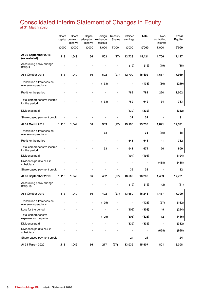# <span id="page-9-0"></span>Consolidated Interim Statement of Changes in Equity

at 31 March 2020

|                                                   | Share                    | Share<br>reserve | Capital<br>capital premium redemption exchange<br>reserve | Foreign<br>reserve | Treasury<br>Shares | Retained<br>earnings | <b>Total</b> | Non-<br>controlling<br>interest | Total<br><b>Equity</b> |
|---------------------------------------------------|--------------------------|------------------|-----------------------------------------------------------|--------------------|--------------------|----------------------|--------------|---------------------------------|------------------------|
|                                                   | £'000                    | £'000            | £'000                                                     | £'000              | £'000              | £'000                | £'000        | £'000                           | £'000                  |
| At 30 September 2018<br>(as restated)             | 1,113                    | 1,049            | 56                                                        | 502                | (27)               | 12,728               | 15,421       | 1,706                           | 17,127                 |
| Accounting policy change<br>IFRS 9                |                          |                  | ä,                                                        |                    |                    | (19)                 | (19)         | (19)                            | (38)                   |
| At 1 October 2018                                 | 1,113                    | 1,049            | 56                                                        | 502                | (27)               | 12,709               | 15,402       | 1,687                           | 17,089                 |
| Translation differences on<br>overseas operations |                          |                  |                                                           | (133)              |                    |                      | (133)        | (86)                            | (219)                  |
| Profit for the period                             |                          |                  |                                                           |                    |                    | 782                  | 782          | 220                             | 1,002                  |
| Total comprehensive income<br>for the period      |                          |                  |                                                           | (133)              |                    | 782                  | 649          | 134                             | 783                    |
| Dividends paid                                    |                          |                  |                                                           |                    |                    | (332)                | (332)        |                                 | (332)                  |
| Share-based payment credit                        | $\blacksquare$           |                  |                                                           |                    |                    | 31                   | 31           |                                 | 31                     |
| At 31 March 2019                                  | 1,113                    | 1,049            | 56                                                        | 369                | (27)               | 13,190               | 15,750       | 1,821                           | 17,571                 |
| Translation differences on<br>overseas operations |                          |                  |                                                           | 33                 |                    |                      | 33           | (15)                            | 18                     |
| Profit for the period                             |                          |                  | L,                                                        | L,                 | $\blacksquare$     | 641                  | 641          | 141                             | 782                    |
| Total comprehensive income<br>for the period      |                          |                  |                                                           | 33                 |                    | 641                  | 674          | 126                             | 800                    |
| Dividends paid                                    | ÷,                       | ÷                | ÷,                                                        | ÷,                 | $\blacksquare$     | (194)                | (194)        | $\blacksquare$                  | (194)                  |
| Dividends paid to NCI in<br>subsidiary            |                          |                  |                                                           |                    |                    | ä,                   |              | (488)                           | (488)                  |
| Share-based payment credit                        |                          |                  |                                                           |                    |                    | 32                   | 32           | $\blacksquare$                  | 32                     |
| At 30 September 2019                              | 1,113                    | 1,049            | 56                                                        | 402                | (27)               | 13,669               | 16,262       | 1,459                           | 17,721                 |
| Accounting policy change<br>IFRS 16               |                          |                  |                                                           |                    |                    | (19)                 | (19)         | (2)                             | (21)                   |
| At 1 October 2019                                 | 1,113                    | 1,049            | 56                                                        | 402                | (27)               | 13,650               | 16,243       | 1,457                           | 17,700                 |
| Translation differences on<br>overseas operations |                          |                  |                                                           | (125)              |                    |                      | (125)        | (37)                            | (162)                  |
| Loss for the period                               |                          |                  | -                                                         |                    | -                  | (303)                | (303)        | 49                              | (254)                  |
| Total comprehensive<br>expense for the period     |                          |                  | ۰                                                         | (125)              | ٠                  | (303)                | (428)        | 12                              | (416)                  |
| Dividends paid                                    | $\blacksquare$           | ä,               | $\blacksquare$                                            | ÷,                 | $\blacksquare$     | (332)                | (332)        | $\overline{a}$                  | (332)                  |
| Dividends paid to NCI in<br>subsidiary            |                          |                  |                                                           |                    |                    |                      |              | (668)                           | (668)                  |
| Share-based payment credit                        | $\overline{\phantom{a}}$ |                  | $\overline{a}$                                            | $\overline{a}$     |                    | 24                   | 24           | $\frac{1}{2}$                   | 24                     |
| At 31 March 2020                                  | 1,113                    | 1,049            | 56                                                        | 277                | (27)               | 13,039               | 15,507       | 801                             | 16,308                 |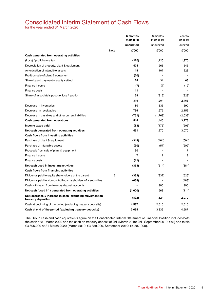# <span id="page-10-0"></span>Consolidated Interim Statement of Cash Flows

for the year ended 31 March 2020

|                                                                                |      | 6 months   | 6 months       | Year to        |
|--------------------------------------------------------------------------------|------|------------|----------------|----------------|
|                                                                                |      | to 31.3.20 | to 31.3.19     | 31.3.19        |
|                                                                                |      | unaudited  | unaudited      | audited        |
|                                                                                | Note | £'000      | £'000          | £'000          |
| Cash generated from operating activities                                       |      |            |                |                |
| (Loss) / profit before tax                                                     |      | (270)      | 1,120          | 1,970          |
| Depreciation of property, plant & equipment                                    |      | 424        | 266            | 543            |
| Amortisation of intangible assets                                              |      | 118        | 107            | 228            |
| Profit on sale of plant & equipment                                            |      | (20)       |                |                |
| Share based payment - equity settled                                           |      | 24         | 31             | 63             |
| Finance income                                                                 |      | (7)        | (7)            | (12)           |
| Finance costs                                                                  |      | 11         |                |                |
| Share of associate's post tax loss / (profit)                                  |      | 39         | (313)          | (329)          |
|                                                                                |      | 319        | 1,204          | 2,463          |
| Decrease in inventories                                                        |      | 180        | 335            | 690            |
| Decrease in receivables                                                        |      | 796        | 1,675          | 2,153          |
| Decrease in payables and other current liabilities                             |      | (751)      | (1,769)        | (2,033)        |
| Cash generated from operations                                                 |      | 544        | 1,445          | 3,273          |
| Income taxes paid                                                              |      | (83)       | (175)          | (203)          |
| Net cash generated from operating activities                                   |      | 461        | 1,270          | 3,070          |
| Cash flows from investing activities                                           |      |            |                |                |
| Purchase of plant & equipment                                                  |      | (349)      | (464)          | (694)          |
| Purchase of intangible assets                                                  |      | (30)       | (57)           | (209)          |
| Proceeds from sale of plant & equipment                                        |      | 30         |                | $\overline{7}$ |
| Finance income                                                                 |      | 7          | $\overline{7}$ | 12             |
| Finance costs                                                                  |      | (11)       |                |                |
| Net cash used in investing activities                                          |      | (353)      | (514)          | (884)          |
| Cash flows from financing activities                                           |      |            |                |                |
| Dividends paid to equity shareholders of the parent                            | 5    | (332)      | (332)          | (526)          |
| Dividends paid to Non-controlling shareholders of a subsidiary                 |      | (668)      |                | (488)          |
| Cash withdrawn from treasury deposit accounts                                  |      |            | 900            | 900            |
| Net cash (used in) / generated from operating activities                       |      | (1,000)    | 568            | (114)          |
| Net (decrease) / increase in cash (excluding movement on<br>treasury deposits) |      | (892)      | 1,324          | 2,072          |
| Cash at beginning of the period (excluding treasury deposits)                  |      | 4,587      | 2,515          | 2,515          |
| Cash at end of the period (excluding treasury deposits)                        |      | 3.695      | 3,839          | 4,587          |

The Group cash and cash equivalents figure on the Consolidated Interim Statement of Financial Position includes both the cash at 31 March 2020 and the cash on treasury deposit of £nil (March 2019: £nil, September 2019: £nil) and totals £3,695,000 at 31 March 2020 (March 2019: £3,839,000, September 2019: £4,587,000).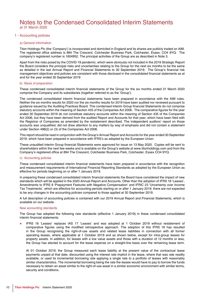### <span id="page-11-0"></span>1 - Accounting policies

#### a) General information

Titon Holdings Plc (the 'Company') is incorporated and domiciled in England and its shares are publicly traded on AIM. The registered office address is 894 The Crescent, Colchester Business Park, Colchester, Essex, CO4 9YQ. The company's registered number is 1604952. The principal activities of the Group are as described in Note 3.

Apart from the risks posed by the COVID-19 pandemic, which were obviously not included in the 2019 Strategic Report the Board considers the principal risks and uncertainties relating to the Group for the next six months to be the same as detailed in the last Annual Report and Financial Statements to 30 September 2019. The Group's financial risk management objectives and policies are consistent with those disclosed in the consolidated financial statements as at and for the year ended 30 September 2019

#### b) Basis of preparation

These condensed consolidated interim financial statements of the Group for the six months ended 31 March 2020 comprise the Company and its subsidiaries (together referred to as the 'Group').

The condensed consolidated interim financial statements have been prepared in accordance with the AIM rules. Neither the six months results for 2020 nor the six months results for 2019 have been audited nor reviewed pursuant to guidance issued by the Auditing Practices Board. This condensed Interim Group financial Statements do not comprise statutory accounts within the meaning of Section 435 of the Companies Act 2006. The comparative figures for the year ended 30 September 2019 do not constitute statutory accounts within the meaning of Section 435 of the Companies Act 2006, but they have been derived from the audited Report and Accounts for that year, which have been filed with the Registrar of Companies as amended by the restatement described. The independent auditors' report on those accounts was unqualified, did not draw attention to any matters by way of emphasis and did not contain a statement under Section 498(2) or (3) of the Companies Act 2006.

This report should be read in conjunction with the Group's Annual Report and Accounts for the year ended 30 September 2019, which have been prepared in accordance with IFRS's as adopted by the European Union.

These unaudited interim Group financial Statements were approved for issue on 13 May 2020. Copies will be sent to shareholders within the next few weeks and is available on the Group's website at www.titonholdings.com and from the Company's registered office at 894 The Crescent, Colchester Business Park, Colchester, Essex CO4 9YQ.

### c) Accounting policies

These condensed consolidated interim financial statements have been prepared in accordance with the recognition and measurement requirements of International Financial Reporting Standards as adopted by the European Union as effective for periods beginning on or after 1 January 2019.

In preparing these condensed consolidated interim financial statements the Board have considered the impact of new standards which will be applied in the 2020 Annual Report and Accounts. Other than the adoption of IFRS 16 'Leases', Amendments to IFRS 9 'Prepayment Features with Negative Compensation' and IFRIC 23 'Uncertainty over Income Tax Treatments', which are effective for accounting periods starting on or after 1 January 2019, there are not expected to be any changes in the accounting policies compared to those applied at 30 September 2019.

A full description of accounting policies is contained with our 2019 Annual Report and Financial Statements, which is available on our website.

#### New accounting standards

The Group has adopted the following new standards (effective 1 January 2019) in these condensed consolidated interim financial statements:

IFRS 16 'Leases' replaces IAS 17 'Leases' and was adopted at 1 October 2019 without restatement of comparative figures using the modified retrospective approach. The adoption of this IFRS 16 has resulted in the Group recognising the right-of-use assets and related lease liabilities in connection with all former operating leases, where applicable at 1 October 2019 and as shown below, except for intra-group leases for property assets. In addition, for leases with a low value assets and those with a duration of 12 months or less, the Group has elected to account for the lease expense on a straight-line basis over the remaining lease term.

At 01 October 2019, the Group measured each lease liability at the present value of the contractual lease payments unpaid at that date, discounted using the interest rate implicit in the lease, where that was rate readily available, or used its incremental borrowing rate applying a single rate to a portfolio of leases with reasonably similar characteristics. The incremental borrowing being the rate the lessee would have to pay to borrow the funds necessary to obtain an asset similar to the right-of-use asset in a similar economic environment with similar terms, security and conditions.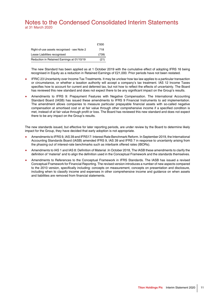|                                             | £'000 |
|---------------------------------------------|-------|
| Right-of-use assets recognised - see Note 2 | 718   |
| Lease Liabilities recognised                | (739) |
| Reduction in Retained Earnings at 01/10/19  | (21)  |

The new Standard has been applied as at 1 October 2019 with the cumulative effect of adopting IFRS 16 being recognised in Equity as a reduction in Retained Earnings of £21,000. Prior periods have not been restated.

- IFRIC 23 Uncertainty over Income Tax Treatments. It may be unclear how tax law applies to a particular transaction or circumstance, or whether a taxation authority will accept a company's tax treatment. IAS 12 Income Taxes specifies how to account for current and deferred tax, but not how to reflect the effects of uncertainty. The Board has reviewed this new standard and does not expect there to be any significant impact on the Group's results.
- Amendments to IFRS 9: Prepayment Features with Negative Compensation. The International Accounting Standard Board (IASB) has issued these amendments to IFRS 9 Financial Instruments to aid implementation. The amendment allows companies to measure particular prepayable financial assets with so-called negative compensation at amortised cost or at fair value through other comprehensive income if a specified condition is met, instead of at fair value through profit or loss. The Board has reviewed this new standard and does not expect there to be any impact on the Group's results.

The new standards issued, but effective for later reporting periods, are under review by the Board to determine likely impact for the Group, they have decided that early adoption is not appropriate.

- Amendments to IFRS 9, IAS 39 and IFRS17: Interest Rate Benchmark Reform. In September 2019, the International Accounting Standards Board (IASB) amended IFRS 9, IAS 39 and IFRS 7 in response to uncertainty arising from the phasing out of interest-rate benchmarks such as interbank offered rates (IBORs).
- Amendments to IAS 1 and IAS 8: Definition of Material .In October 2018, The IASB these amendments to clarify the definition of 'material' and to align the definition used in the Conceptual Framework and the standards themselves.
- Amendments to References to the Conceptual Framework in IFRS Standards. The IASB has issued a revised Conceptual Framework for Financial Reporting. The revised version introduces a number of new aspects compared to the 2010 version, specifically including: concepts on measurement, concepts on presentation and disclosure, including when to classify income and expenses in other comprehensive income and guidance on when assets and liabilities are removed from financial statements.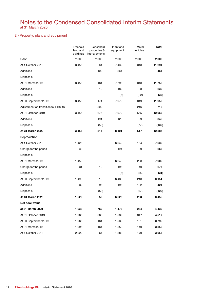### 2 - Property, plant and equipment

|                                     | Freehold<br>land and<br>buildings | Leasehold<br>properties &<br>improvements | Plant and<br>equipment | Motor<br>vehicles | Total          |
|-------------------------------------|-----------------------------------|-------------------------------------------|------------------------|-------------------|----------------|
| Cost                                | £'000                             | £'000                                     | £'000                  | £'000             | £'000          |
| At 1 October 2018                   | 3,455                             | 64                                        | 7,432                  | 343               | 11,294         |
| Additions                           |                                   | 100                                       | 364                    |                   | 464            |
| <b>Disposals</b>                    | ÷                                 | ÷,                                        | $\blacksquare$         | $\overline{a}$    | $\blacksquare$ |
| At 31 March 2019                    | 3,455                             | 164                                       | 7,796                  | 343               | 11,758         |
| Additions                           |                                   | 10                                        | 182                    | 38                | 230            |
| <b>Disposals</b>                    |                                   |                                           | (6)                    | (32)              | (38)           |
| At 30 September 2019                | 3,455                             | 174                                       | 7,972                  | 349               | 11,950         |
| Adjustment on transition to IFRS 16 | $\blacksquare$                    | 502                                       | $\blacksquare$         | 216               | 718            |
| At 01 October 2019                  | 3,455                             | 676                                       | 7,972                  | 565               | 12,668         |
| Additions                           |                                   | 191                                       | 129                    | 29                | 349            |
| Disposals                           | $\overline{a}$                    | (53)                                      | $\blacksquare$         | (77)              | (130)          |
| At 31 March 2020                    | 3,455                             | 814                                       | 8,101                  | 517               | 12,887         |
| Depreciation                        |                                   |                                           |                        |                   |                |
| At 1 October 2018                   | 1,426                             |                                           | 6,049                  | 164               | 7,639          |
| Charge for the period               | 33                                |                                           | 194                    | 39                | 266            |
| <b>Disposals</b>                    | ÷,                                |                                           | $\blacksquare$         | ÷,                | $\blacksquare$ |
| At 31 March 2019                    | 1,459                             |                                           | 6,243                  | 203               | 7,905          |
| Charge for the period               | 31                                | 10                                        | 196                    | 40                | 277            |
| <b>Disposals</b>                    |                                   | $\overline{a}$                            | (6)                    | (25)              | (31)           |
| At 30 September 2019                | 1,490                             | 10                                        | 6,433                  | 218               | 8,151          |
| Additions                           | 32                                | 95                                        | 195                    | 102               | 424            |
| <b>Disposals</b>                    | ÷,                                | (53)                                      | $\blacksquare$         | (67)              | (120)          |
| At 31 March 2020                    | 1,522                             | 52                                        | 6,628                  | 253               | 8,455          |
| Net book value                      |                                   |                                           |                        |                   |                |
| at 31 March 2020                    | 1,933                             | 762                                       | 1,473                  | 264               | 4,432          |
| At 01 October 2019                  | 1,965                             | 666                                       | 1,539                  | 347               | 4,517          |
| At 30 September 2019                | 1,965                             | 164                                       | 1,539                  | 131               | 3,799          |
| At 31 March 2019                    | 1,996                             | 164                                       | 1,553                  | 140               | 3,853          |
| At 1 October 2018                   | 2,029                             | 64                                        | 1,383                  | 179               | 3,655          |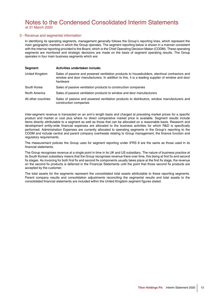### 3 - Revenue and segmental information

In identifying its operating segments, management generally follows the Group's reporting lines, which represent the main geographic markets in which the Group operates. The segment reporting below is shown in a manner consistent with the internal reporting provided to the Board, which is the Chief Operating Decision Maker (CODM). These operating segments are monitored and strategic decisions are made on the basis of segment operating results. The Group operates in four main business segments which are:

| Segment             | Activities undertaken include:                                                                                                                                                                                |
|---------------------|---------------------------------------------------------------------------------------------------------------------------------------------------------------------------------------------------------------|
| United Kingdom      | Sales of passive and powered ventilation products to housebuilders, electrical contractors and<br>window and door manufacturers. In addition to this, it is a leading supplier of window and door<br>hardware |
| South Korea         | Sales of passive ventilation products to construction companies                                                                                                                                               |
| North America       | Sales of passive ventilation products to window and door manufacturers                                                                                                                                        |
| All other countries | Sales of passive and powered ventilation products to distributors, window manufacturers and<br>construction companies                                                                                         |

Inter-segment revenue is transacted on an arm's length basis and charged at prevailing market prices for a specific product and market or cost plus where no direct comparative market price is available. Segment results include items directly attributable to a segment as well as those that can be allocated on a reasonable basis. Research and development entity-wide financial expenses are allocated to the business activities for which R&D is specifically performed. Administration Expenses are currently allocated to operating segments in the Group's reporting to the CODM and include central and parent company overheads relating to Group management, the finance function and regulatory requirements.

The measurement policies the Group uses for segment reporting under IFRS 8 are the same as those used in its financial statements.

The Group recognises revenue at a single point in time in its UK and US subsidiary. The nature of business practice at its South Korean subsidiary means that the Group recognises revenue there over time, this being at first fix and second fix stages. As invoicing for both first fix and second fix components usually takes place at the first fix stage, the revenue on the second fix products is deferred in the Financial Statements until the point that those second fix products are accepted by the customer.

The total assets for the segments represent the consolidated total assets attributable to these reporting segments. Parent company results and consolidation adjustments reconciling the segmental results and total assets to the consolidated financial statements are included within the United Kingdom segment figures stated.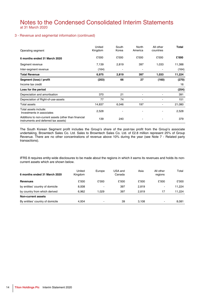### 3 - Revenue and segmental information (continued)

| Operating segment                                                                             | United<br>Kingdom | South<br>Korea           | North<br>America | All other<br>countries   | <b>Total</b> |
|-----------------------------------------------------------------------------------------------|-------------------|--------------------------|------------------|--------------------------|--------------|
| 6 months ended 31 March 2020                                                                  | £'000             | £'000                    | £'000            | £'000                    | £'000        |
| Segment revenue                                                                               | 7,139             | 2,819                    | 397              | 1,033                    | 11,388       |
| Inter-segment revenue                                                                         | (164)             | $\overline{\phantom{a}}$ |                  |                          | (164)        |
| <b>Total Revenue</b>                                                                          | 6,975             | 2,819                    | 397              | 1,033                    | 11,224       |
| Segment (loss) / profit                                                                       | (203)             | 66                       | 27               | (160)                    | (270)        |
| Income tax credit                                                                             |                   |                          |                  |                          | 16           |
| Loss for the period                                                                           |                   |                          |                  |                          | (254)        |
| Depreciation and amortisation                                                                 | 370               | 21                       | $\blacksquare$   |                          | 391          |
| Depreciation of Right-of-use-assets                                                           | 77                | 74                       |                  |                          | 151          |
| Total assets                                                                                  | 14,837            | 6,046                    | 197              | $\overline{\phantom{a}}$ | 21,080       |
| Total assets include:<br>Investments in associates                                            | 2,528             |                          |                  |                          | 2,528        |
| Additions to non-current assets (other than financial<br>instruments and deferred tax assets) | 139               | 240                      |                  |                          | 379          |

The South Korean Segment profit includes the Group's share of the post-tax profit from the Group's associate undertaking, Browntech Sales Co. Ltd. Sales to Browntech Sales Co. Ltd. of £2.8 million represent 25% of Group Revenue. There are no other concentrations of revenue above 10% during the year (see Note 7 - Related party transactions).

IFRS 8 requires entity-wide disclosures to be made about the regions in which it earns its revenues and holds its noncurrent assets which are shown below.

| 6 months ended 31 March 2020     | United<br>Kingdom | Europe | USA and<br>Canada | Asia  | All other<br>regions | Total  |
|----------------------------------|-------------------|--------|-------------------|-------|----------------------|--------|
| <b>Revenues</b>                  | £'000             | £'000  | £'000             | £'000 | £'000                | £'000  |
| by entities' country of domicile | 8,008             |        | 397               | 2,819 | ٠                    | 11.224 |
| by country from which derived    | 6.962             | 1.029  | 397               | 2.819 | 17                   | 11.224 |
| Non-current assets               |                   |        |                   |       |                      |        |
| By entities' country of domicile | 4.934             |        | 39                | 3.108 | $\blacksquare$       | 8.081  |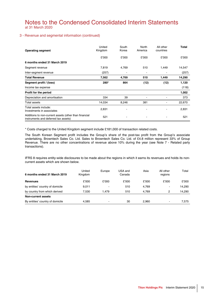### 3 - Revenue and segmental information (continued)

| <b>Operating segment</b>                                                                      | United<br>Kingdom | South<br>Korea           | North<br>America         | All other<br>countries   | Total  |
|-----------------------------------------------------------------------------------------------|-------------------|--------------------------|--------------------------|--------------------------|--------|
|                                                                                               | £'000             | £'000                    | £'000                    | £'000                    | £'000  |
| 6 months ended 31 March 2019                                                                  |                   |                          |                          |                          |        |
| Segment revenue                                                                               | 7,819             | 4,769                    | 510                      | 1,449                    | 14,547 |
| Inter-segment revenue                                                                         | (257)             | $\overline{\phantom{0}}$ | $\overline{\phantom{0}}$ | $\overline{\phantom{a}}$ | (257)  |
| <b>Total Revenue</b>                                                                          | 7,562             | 4,769                    | 510                      | 1,449                    | 14,290 |
| Segment profit / (loss)                                                                       | 280*              | 864                      | (12)                     | (12)                     | 1,120  |
| Income tax expense                                                                            |                   |                          |                          |                          | (118)  |
| Profit for the period                                                                         |                   |                          |                          |                          | 1,002  |
| Depreciation and amortisation                                                                 | 334               | 39                       | $\overline{\phantom{a}}$ |                          | 373    |
| Total assets                                                                                  | 14,034            | 8,246                    | 381                      | $\blacksquare$           | 22,670 |
| Total assets include:<br>Investments in associates                                            | 2,831             | ۰                        |                          | $\blacksquare$           | 2,831  |
| Additions to non-current assets (other than financial<br>instruments and deferred tax assets) | 521               |                          |                          |                          | 521    |

\* Costs charged to the United Kingdom segment include £181,000 of transaction related costs.

The South Korean Segment profit includes the Group's share of the post-tax profit from the Group's associate undertaking, Browntech Sales Co. Ltd. Sales to Browntech Sales Co. Ltd. of £4.8 million represent 33% of Group Revenue. There are no other concentrations of revenue above 10% during the year (see Note 7 - Related party transactions).

IFRS 8 requires entity-wide disclosures to be made about the regions in which it earns its revenues and holds its noncurrent assets which are shown below.

| 6 months ended 31 March 2019     | United<br>Kingdom | Europe         | USA and<br>Canada | Asia  | All other<br>regions | Total  |
|----------------------------------|-------------------|----------------|-------------------|-------|----------------------|--------|
| <b>Revenues</b>                  | £'000             | £'000          | £'000             | £'000 | £'000                | £'000  |
| by entities' country of domicile | 9,011             |                | 510               | 4,769 | ٠                    | 14,290 |
| by country from which derived    | 7.530             | .479           | 510               | 4.769 | 2                    | 14.290 |
| Non-current assets               |                   |                |                   |       |                      |        |
| By entities' country of domicile | 4.585             | $\blacksquare$ | 30                | 2.960 | $\blacksquare$       | 7.575  |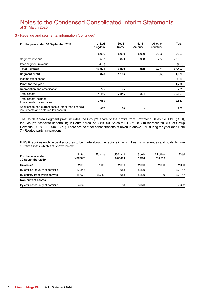### 3 - Revenue and segmental information (continued)

| For the year ended 30 September 2019                                                          | United<br>Kingdom | South<br>Korea | North<br>America         | All other<br>countries | Total  |
|-----------------------------------------------------------------------------------------------|-------------------|----------------|--------------------------|------------------------|--------|
|                                                                                               | £'000             | £'000          | £'000                    | £'000                  | £'000  |
| Segment revenue                                                                               | 15,567            | 8,329          | 983                      | 2,774                  | 27,653 |
| Inter-segment revenue                                                                         | (496)             | $\blacksquare$ | $\overline{\phantom{a}}$ |                        | (496)  |
| <b>Total Revenue</b>                                                                          | 15,071            | 8,329          | 983                      | 2,774                  | 27,157 |
| Segment profit                                                                                | 878               | 1,186          | $\blacksquare$           | (94)                   | 1,970  |
| Income tax expense                                                                            |                   |                |                          |                        | (186)  |
| Profit for the year                                                                           |                   |                |                          |                        | 1,784  |
| Depreciation and amortisation                                                                 | 706               | 65             | $\blacksquare$           |                        | 771    |
| Total assets                                                                                  | 14,459            | 7,846          | 304                      |                        | 22,609 |
| Total assets include:<br>Investments in associates                                            | 2,669             |                | ٠                        |                        | 2,669  |
| Additions to non-current assets (other than financial<br>instruments and deferred tax assets) | 867               | 36             |                          |                        | 903    |

The South Korea Segment profit includes the Group's share of the profits from Browntech Sales Co. Ltd., (BTS), the Group's associate undertaking in South Korea, of £329,000. Sales to BTS of £8.33m represented 31% of Group Revenue (2018: £11.39m - 38%). There are no other concentrations of revenue above 10% during the year (see Note 7 - Related party transactions).

IFRS 8 requires entity wide disclosures to be made about the regions in which it earns its revenues and holds its noncurrent assets which are shown below.

| For the year ended<br>30 September 2019 | United<br>Kingdom | Europe         | USA and<br>Canada | South<br>Korea | All other<br>regions | Total  |
|-----------------------------------------|-------------------|----------------|-------------------|----------------|----------------------|--------|
| <b>Revenues</b>                         | £'000             | £'000          | £'000             | £'000          | £'000                | £'000  |
| By entities' country of domicile        | 17.845            | ۰              | 983               | 8.329          | -                    | 27.157 |
| By country from which derived           | 15.073            | 2.742          | 983               | 8.329          | 30                   | 27.157 |
| Non-current assets                      |                   |                |                   |                |                      |        |
| By entities' country of domicile        | 4.642             | $\blacksquare$ | 30                | 3.020          | ٠                    | 7.692  |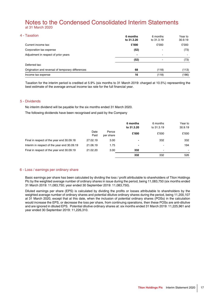| 4 - Taxation                                      | 6 months<br>to 31.3.20   | 6 months<br>to 31.3.19 | Year to<br>30.9.19<br>£'000<br>(73) |
|---------------------------------------------------|--------------------------|------------------------|-------------------------------------|
| Current income tax:                               | £'000                    | £'000                  |                                     |
| Corporation tax expense                           | (52)                     |                        |                                     |
| Adjustment in respect of prior years              | $\overline{\phantom{a}}$ | $\blacksquare$         |                                     |
|                                                   | (52)                     |                        | (73)                                |
| Deferred tax:                                     |                          |                        |                                     |
| Origination and reversal of temporary differences | 68                       | (118)                  | (113)                               |
| Income tax expense                                | 16                       | (118)                  | (186)                               |

Taxation for the interim period is credited at 5.9% (six months to 31 March 2019: charged at 10.5%) representing the best estimate of the average annual income tax rate for the full financial year.

### 5 - Dividends

No interim dividend will be payable for the six months ended 31 March 2020.

The following dividends have been recognised and paid by the Company

|                                             |              |                    | 6 months<br>to 31.3.20 | 6 months<br>to 31.3.19 | Year to<br>30.9.19 |
|---------------------------------------------|--------------|--------------------|------------------------|------------------------|--------------------|
|                                             | Date<br>Paid | Pence<br>per share | £'000                  | £'000                  | £'000              |
| Final in respect of the year end 30.09.18   | 27.02.19     | 3.00               | $\blacksquare$         | 332                    | 332                |
| Interim in respect of the year end 30.09.19 | 21.06.19     | 1.75               | $\blacksquare$         |                        | 194                |
| Final in respect of the year end 30.09.19   | 21.02.20     | 3.00               | 332                    | $\blacksquare$         | $\blacksquare$     |
|                                             |              |                    | 332                    | 332                    | 526                |

### 6 - Loss / earnings per ordinary share

Basic earnings per share has been calculated by dividing the loss / profit attributable to shareholders of Titon Holdings Plc by the weighted average number of ordinary shares in issue during the period, being 11,083,750 (six months ended 31 March 2019: 11,083,750; year ended 30 September 2019: 11,083,750).

Diluted earnings per share (EPS) is calculated by dividing the profits or losses attributable to shareholders by the weighted average number of ordinary shares and potential dilutive ordinary shares during the period, being 11,200,107 at 31 March 2020, except that at this date, when the inclusion of potential ordinary shares (POSs) in the calculation would increase the EPS, or decrease the loss per share, from continuing operations, then these POSs are anti-dilutive and are ignored in diluted EPS. Potential dilutive ordinary shares at: six months ended 31 March 2019: 11,225,961 and year ended 30 September 2019: 11,226,310.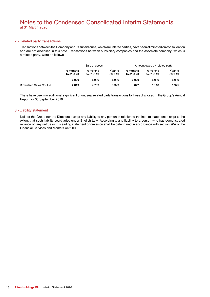### 7 - Related party transactions

Transactions between the Company and its subsidiaries, which are related parties, have been eliminated on consolidation and are not disclosed in this note. Transactions between subsidiary companies and the associate company, which is a related party, were as follows:

|                         | Sale of goods          |                        |                    |                        | Amount owed by related party |                    |  |
|-------------------------|------------------------|------------------------|--------------------|------------------------|------------------------------|--------------------|--|
|                         | 6 months<br>to 31.3.20 | 6 months<br>to 31.3.19 | Year to<br>30.9.19 | 6 months<br>to 31.3.20 | 6 months<br>to 31.3.19       | Year to<br>30.9.19 |  |
|                         | £'000                  | £'000                  | £'000              | £'000                  | £'000                        | £'000              |  |
| Browntech Sales Co. Ltd | 2.819                  | 4.769                  | 8.329              | 827                    | 1.118                        | 1.975              |  |

There have been no additional significant or unusual related party transactions to those disclosed in the Group's Annual Report for 30 September 2019.

### 8 - Liability statement

Neither the Group nor the Directors accept any liability to any person in relation to the interim statement except to the extent that such liability could arise under English Law. Accordingly, any liability to a person who has demonstrated reliance on any untrue or misleading statement or omission shall be determined in accordance with section 90A of the Financial Services and Markets Act 2000.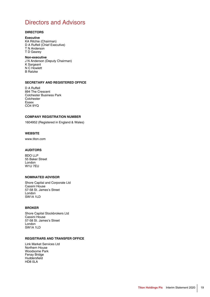# <span id="page-20-0"></span>Directors and Advisors

### **DIRECTORS**

### **Executive**

KA Ritchie (Chairman) D A Ruffell (Chief Executive) T N Anderson T D Gearey

### **Non-executive**

J N Anderson (Deputy Chairman) K Sargeant N C Howlett B Ratzke

### **SECRETARY AND REGISTERED OFFICE**

D A Ruffell 894 The Crescent Colchester Business Park **Colchester** Essex CO4 9YQ

#### **COMPANY REGISTRATION NUMBER**

1604952 (Registered in England & Wales)

### **WEBSITE**

www.titon.com

### **AUDITORS**

BDO LLP 55 Baker Street London W1U 7EU

### **NOMINATED ADVISOR**

Shore Capital and Corporate Ltd Cassini House 57-58 St. James's Street London SW1A 1LD

### **BROKER**

Shore Capital Stockbrokers Ltd Cassini House 57-58 St. James's Street London SW1A 1LD

### **REGISTRARS AND TRANSFER OFFICE**

Link Market Services Ltd Northern House Woodsome Park Fenay Bridge Huddersfield HD8 0LA